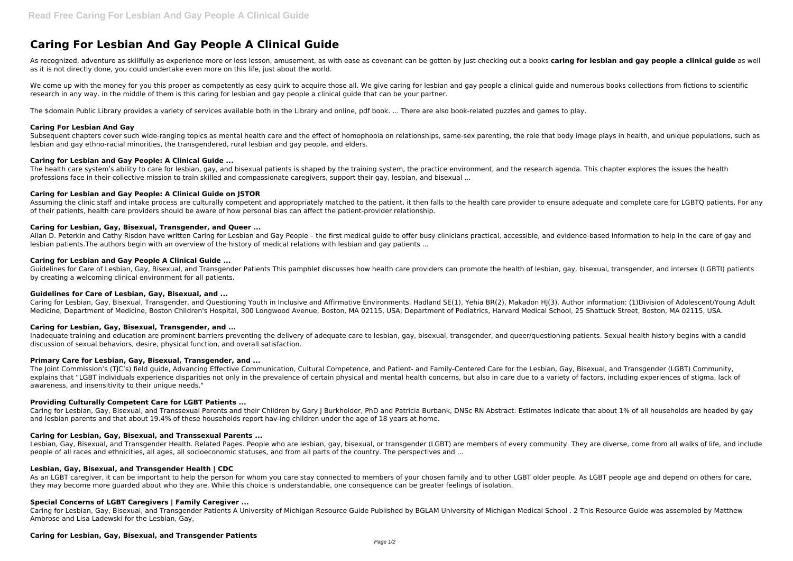# **Caring For Lesbian And Gay People A Clinical Guide**

As recognized, adventure as skillfully as experience more or less lesson, amusement, as with ease as covenant can be gotten by just checking out a books **caring for lesbian and gay people a clinical guide** as well as it is not directly done, you could undertake even more on this life, just about the world.

We come up with the money for you this proper as competently as easy quirk to acquire those all. We give caring for lesbian and gay people a clinical guide and numerous books collections from fictions to scientific research in any way. in the middle of them is this caring for lesbian and gay people a clinical guide that can be your partner.

Subsequent chapters cover such wide-ranging topics as mental health care and the effect of homophobia on relationships, same-sex parenting, the role that body image plays in health, and unique populations, such as lesbian and gay ethno-racial minorities, the transgendered, rural lesbian and gay people, and elders.

The health care system's ability to care for lesbian, gay, and bisexual patients is shaped by the training system, the practice environment, and the research agenda. This chapter explores the issues the health professions face in their collective mission to train skilled and compassionate caregivers, support their gay, lesbian, and bisexual ...

The \$domain Public Library provides a variety of services available both in the Library and online, pdf book. ... There are also book-related puzzles and games to play.

## **Caring For Lesbian And Gay**

Assuming the clinic staff and intake process are culturally competent and appropriately matched to the patient, it then falls to the health care provider to ensure adequate and complete care for LGBTQ patients. For any of their patients, health care providers should be aware of how personal bias can affect the patient-provider relationship.

# **Caring for Lesbian and Gay People: A Clinical Guide ...**

Caring for Lesbian, Gay, Bisexual, Transgender, and Questioning Youth in Inclusive and Affirmative Environments. Hadland SE(1), Yehia BR(2), Makadon HJ(3). Author information: (1)Division of Adolescent/Young Adult Medicine, Department of Medicine, Boston Children's Hospital, 300 Longwood Avenue, Boston, MA 02115, USA; Department of Pediatrics, Harvard Medical School, 25 Shattuck Street, Boston, MA 02115, USA.

# **Caring for Lesbian and Gay People: A Clinical Guide on JSTOR**

# **Caring for Lesbian, Gay, Bisexual, Transgender, and Queer ...**

Allan D. Peterkin and Cathy Risdon have written Caring for Lesbian and Gay People – the first medical guide to offer busy clinicians practical, accessible, and evidence-based information to help in the care of gay and lesbian patients.The authors begin with an overview of the history of medical relations with lesbian and gay patients ...

# **Caring for Lesbian and Gay People A Clinical Guide ...**

Guidelines for Care of Lesbian, Gay, Bisexual, and Transgender Patients This pamphlet discusses how health care providers can promote the health of lesbian, gay, bisexual, transgender, and intersex (LGBTI) patients by creating a welcoming clinical environment for all patients.

As an LGBT caregiver, it can be important to help the person for whom you care stay connected to members of your chosen family and to other LGBT older people. As LGBT people age and depend on others for care, they may become more guarded about who they are. While this choice is understandable, one consequence can be greater feelings of isolation.

### **Guidelines for Care of Lesbian, Gay, Bisexual, and ...**

### **Caring for Lesbian, Gay, Bisexual, Transgender, and ...**

Inadequate training and education are prominent barriers preventing the delivery of adequate care to lesbian, gay, bisexual, transgender, and queer/questioning patients. Sexual health history begins with a candid discussion of sexual behaviors, desire, physical function, and overall satisfaction.

### **Primary Care for Lesbian, Gay, Bisexual, Transgender, and ...**

The Joint Commission's (TJC's) field guide, Advancing Effective Communication, Cultural Competence, and Patient- and Family-Centered Care for the Lesbian, Gay, Bisexual, and Transgender (LGBT) Community, explains that "LGBT individuals experience disparities not only in the prevalence of certain physical and mental health concerns, but also in care due to a variety of factors, including experiences of stigma, lack of awareness, and insensitivity to their unique needs."

### **Providing Culturally Competent Care for LGBT Patients ...**

Caring for Lesbian, Gay, Bisexual, and Transsexual Parents and their Children by Gary J Burkholder, PhD and Patricia Burbank, DNSc RN Abstract: Estimates indicate that about 1% of all households are headed by gay and lesbian parents and that about 19.4% of these households report hav-ing children under the age of 18 years at home.

### **Caring for Lesbian, Gay, Bisexual, and Transsexual Parents ...**

Lesbian, Gay, Bisexual, and Transgender Health. Related Pages. People who are lesbian, gay, bisexual, or transgender (LGBT) are members of every community. They are diverse, come from all walks of life, and include people of all races and ethnicities, all ages, all socioeconomic statuses, and from all parts of the country. The perspectives and ...

### **Lesbian, Gay, Bisexual, and Transgender Health | CDC**

### **Special Concerns of LGBT Caregivers | Family Caregiver ...**

Caring for Lesbian, Gay, Bisexual, and Transgender Patients A University of Michigan Resource Guide Published by BGLAM University of Michigan Medical School . 2 This Resource Guide was assembled by Matthew Ambrose and Lisa Ladewski for the Lesbian, Gay,

### **Caring for Lesbian, Gay, Bisexual, and Transgender Patients**